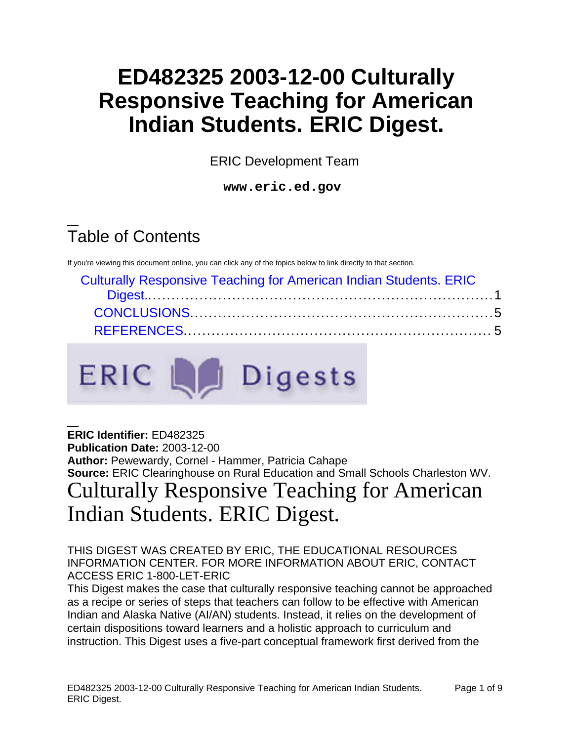## **ED482325 2003-12-00 Culturally Responsive Teaching for American Indian Students. ERIC Digest.**

ERIC Development Team

**www.eric.ed.gov** 

# Table of Contents

If you're viewing this document online, you can click any of the topics below to link directly to that section.

ERIC La Digests

| <b>Culturally Responsive Teaching for American Indian Students. ERIC</b> |  |
|--------------------------------------------------------------------------|--|
|                                                                          |  |
|                                                                          |  |
|                                                                          |  |

<span id="page-0-0"></span>**ERIC Identifier:** ED482325 **Publication Date:** 2003-12-00 **Author:** Pewewardy, Cornel - Hammer, Patricia Cahape **Source:** ERIC Clearinghouse on Rural Education and Small Schools Charleston WV. Culturally Responsive Teaching for American Indian Students. ERIC Digest.

THIS DIGEST WAS CREATED BY ERIC, THE EDUCATIONAL RESOURCES INFORMATION CENTER. FOR MORE INFORMATION ABOUT ERIC, CONTACT ACCESS ERIC 1-800-LET-ERIC

This Digest makes the case that culturally responsive teaching cannot be approached as a recipe or series of steps that teachers can follow to be effective with American Indian and Alaska Native (AI/AN) students. Instead, it relies on the development of certain dispositions toward learners and a holistic approach to curriculum and instruction. This Digest uses a five-part conceptual framework first derived from the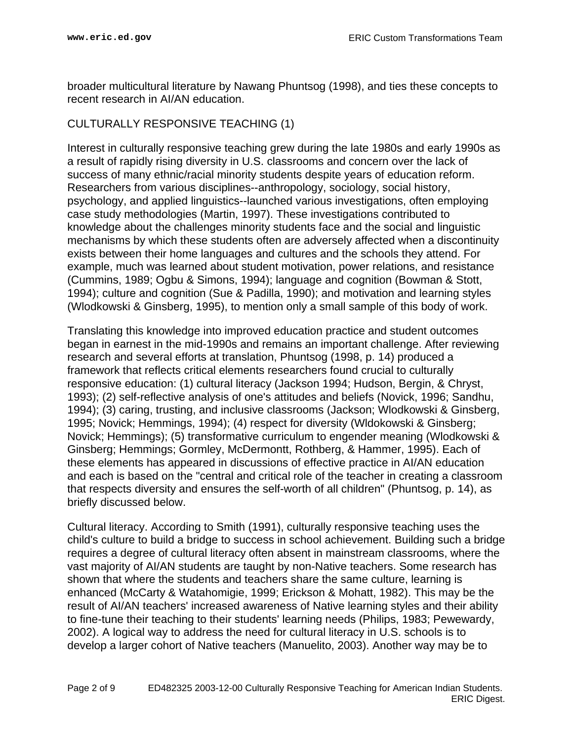broader multicultural literature by Nawang Phuntsog (1998), and ties these concepts to recent research in AI/AN education.

#### CULTURALLY RESPONSIVE TEACHING (1)

Interest in culturally responsive teaching grew during the late 1980s and early 1990s as a result of rapidly rising diversity in U.S. classrooms and concern over the lack of success of many ethnic/racial minority students despite years of education reform. Researchers from various disciplines--anthropology, sociology, social history, psychology, and applied linguistics--launched various investigations, often employing case study methodologies (Martin, 1997). These investigations contributed to knowledge about the challenges minority students face and the social and linguistic mechanisms by which these students often are adversely affected when a discontinuity exists between their home languages and cultures and the schools they attend. For example, much was learned about student motivation, power relations, and resistance (Cummins, 1989; Ogbu & Simons, 1994); language and cognition (Bowman & Stott, 1994); culture and cognition (Sue & Padilla, 1990); and motivation and learning styles (Wlodkowski & Ginsberg, 1995), to mention only a small sample of this body of work.

Translating this knowledge into improved education practice and student outcomes began in earnest in the mid-1990s and remains an important challenge. After reviewing research and several efforts at translation, Phuntsog (1998, p. 14) produced a framework that reflects critical elements researchers found crucial to culturally responsive education: (1) cultural literacy (Jackson 1994; Hudson, Bergin, & Chryst, 1993); (2) self-reflective analysis of one's attitudes and beliefs (Novick, 1996; Sandhu, 1994); (3) caring, trusting, and inclusive classrooms (Jackson; Wlodkowski & Ginsberg, 1995; Novick; Hemmings, 1994); (4) respect for diversity (Wldokowski & Ginsberg; Novick; Hemmings); (5) transformative curriculum to engender meaning (Wlodkowski & Ginsberg; Hemmings; Gormley, McDermontt, Rothberg, & Hammer, 1995). Each of these elements has appeared in discussions of effective practice in AI/AN education and each is based on the "central and critical role of the teacher in creating a classroom that respects diversity and ensures the self-worth of all children" (Phuntsog, p. 14), as briefly discussed below.

Cultural literacy. According to Smith (1991), culturally responsive teaching uses the child's culture to build a bridge to success in school achievement. Building such a bridge requires a degree of cultural literacy often absent in mainstream classrooms, where the vast majority of AI/AN students are taught by non-Native teachers. Some research has shown that where the students and teachers share the same culture, learning is enhanced (McCarty & Watahomigie, 1999; Erickson & Mohatt, 1982). This may be the result of AI/AN teachers' increased awareness of Native learning styles and their ability to fine-tune their teaching to their students' learning needs (Philips, 1983; Pewewardy, 2002). A logical way to address the need for cultural literacy in U.S. schools is to develop a larger cohort of Native teachers (Manuelito, 2003). Another way may be to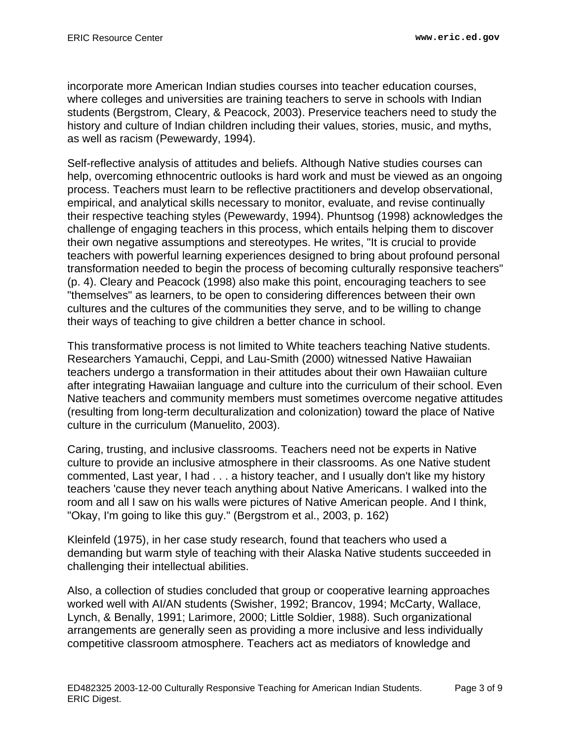incorporate more American Indian studies courses into teacher education courses, where colleges and universities are training teachers to serve in schools with Indian students (Bergstrom, Cleary, & Peacock, 2003). Preservice teachers need to study the history and culture of Indian children including their values, stories, music, and myths, as well as racism (Pewewardy, 1994).

Self-reflective analysis of attitudes and beliefs. Although Native studies courses can help, overcoming ethnocentric outlooks is hard work and must be viewed as an ongoing process. Teachers must learn to be reflective practitioners and develop observational, empirical, and analytical skills necessary to monitor, evaluate, and revise continually their respective teaching styles (Pewewardy, 1994). Phuntsog (1998) acknowledges the challenge of engaging teachers in this process, which entails helping them to discover their own negative assumptions and stereotypes. He writes, "It is crucial to provide teachers with powerful learning experiences designed to bring about profound personal transformation needed to begin the process of becoming culturally responsive teachers" (p. 4). Cleary and Peacock (1998) also make this point, encouraging teachers to see "themselves" as learners, to be open to considering differences between their own cultures and the cultures of the communities they serve, and to be willing to change their ways of teaching to give children a better chance in school.

This transformative process is not limited to White teachers teaching Native students. Researchers Yamauchi, Ceppi, and Lau-Smith (2000) witnessed Native Hawaiian teachers undergo a transformation in their attitudes about their own Hawaiian culture after integrating Hawaiian language and culture into the curriculum of their school. Even Native teachers and community members must sometimes overcome negative attitudes (resulting from long-term deculturalization and colonization) toward the place of Native culture in the curriculum (Manuelito, 2003).

Caring, trusting, and inclusive classrooms. Teachers need not be experts in Native culture to provide an inclusive atmosphere in their classrooms. As one Native student commented, Last year, I had . . . a history teacher, and I usually don't like my history teachers 'cause they never teach anything about Native Americans. I walked into the room and all I saw on his walls were pictures of Native American people. And I think, "Okay, I'm going to like this guy." (Bergstrom et al., 2003, p. 162)

Kleinfeld (1975), in her case study research, found that teachers who used a demanding but warm style of teaching with their Alaska Native students succeeded in challenging their intellectual abilities.

Also, a collection of studies concluded that group or cooperative learning approaches worked well with AI/AN students (Swisher, 1992; Brancov, 1994; McCarty, Wallace, Lynch, & Benally, 1991; Larimore, 2000; Little Soldier, 1988). Such organizational arrangements are generally seen as providing a more inclusive and less individually competitive classroom atmosphere. Teachers act as mediators of knowledge and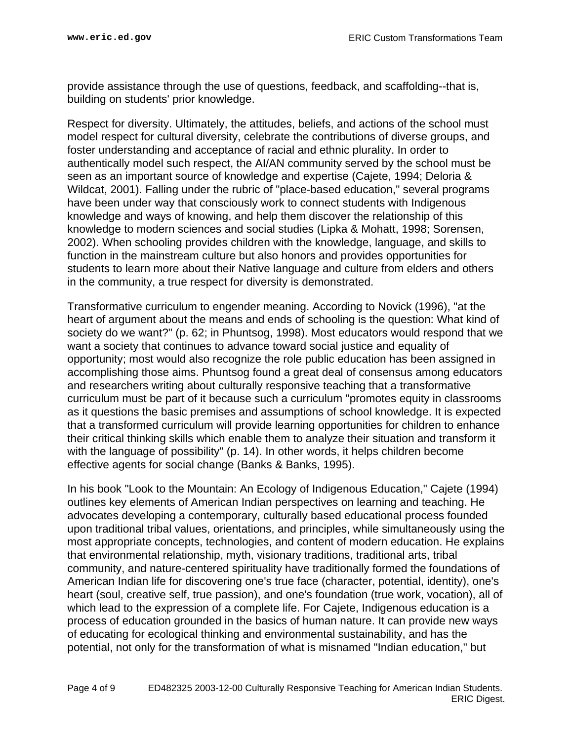provide assistance through the use of questions, feedback, and scaffolding--that is, building on students' prior knowledge.

Respect for diversity. Ultimately, the attitudes, beliefs, and actions of the school must model respect for cultural diversity, celebrate the contributions of diverse groups, and foster understanding and acceptance of racial and ethnic plurality. In order to authentically model such respect, the AI/AN community served by the school must be seen as an important source of knowledge and expertise (Cajete, 1994; Deloria & Wildcat, 2001). Falling under the rubric of "place-based education," several programs have been under way that consciously work to connect students with Indigenous knowledge and ways of knowing, and help them discover the relationship of this knowledge to modern sciences and social studies (Lipka & Mohatt, 1998; Sorensen, 2002). When schooling provides children with the knowledge, language, and skills to function in the mainstream culture but also honors and provides opportunities for students to learn more about their Native language and culture from elders and others in the community, a true respect for diversity is demonstrated.

Transformative curriculum to engender meaning. According to Novick (1996), "at the heart of argument about the means and ends of schooling is the question: What kind of society do we want?" (p. 62; in Phuntsog, 1998). Most educators would respond that we want a society that continues to advance toward social justice and equality of opportunity; most would also recognize the role public education has been assigned in accomplishing those aims. Phuntsog found a great deal of consensus among educators and researchers writing about culturally responsive teaching that a transformative curriculum must be part of it because such a curriculum "promotes equity in classrooms as it questions the basic premises and assumptions of school knowledge. It is expected that a transformed curriculum will provide learning opportunities for children to enhance their critical thinking skills which enable them to analyze their situation and transform it with the language of possibility" (p. 14). In other words, it helps children become effective agents for social change (Banks & Banks, 1995).

In his book "Look to the Mountain: An Ecology of Indigenous Education," Cajete (1994) outlines key elements of American Indian perspectives on learning and teaching. He advocates developing a contemporary, culturally based educational process founded upon traditional tribal values, orientations, and principles, while simultaneously using the most appropriate concepts, technologies, and content of modern education. He explains that environmental relationship, myth, visionary traditions, traditional arts, tribal community, and nature-centered spirituality have traditionally formed the foundations of American Indian life for discovering one's true face (character, potential, identity), one's heart (soul, creative self, true passion), and one's foundation (true work, vocation), all of which lead to the expression of a complete life. For Cajete, Indigenous education is a process of education grounded in the basics of human nature. It can provide new ways of educating for ecological thinking and environmental sustainability, and has the potential, not only for the transformation of what is misnamed "Indian education," but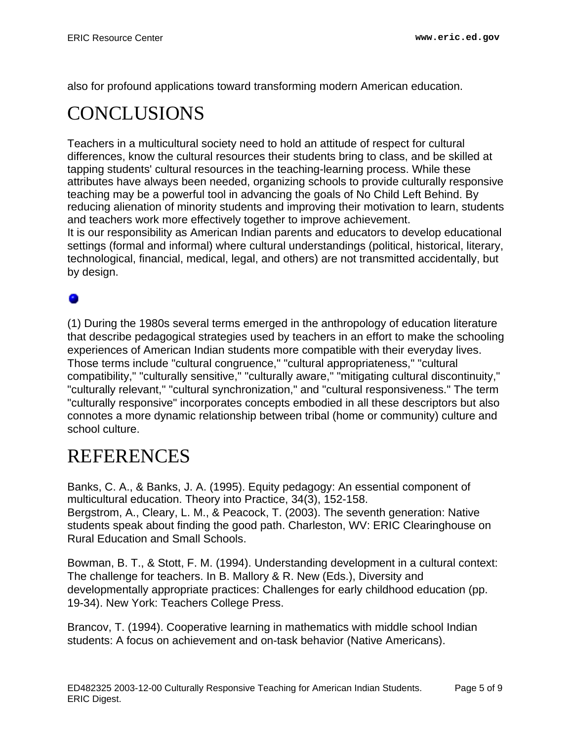also for profound applications toward transforming modern American education.

### <span id="page-4-0"></span>CONCLUSIONS

Teachers in a multicultural society need to hold an attitude of respect for cultural differences, know the cultural resources their students bring to class, and be skilled at tapping students' cultural resources in the teaching-learning process. While these attributes have always been needed, organizing schools to provide culturally responsive teaching may be a powerful tool in advancing the goals of No Child Left Behind. By reducing alienation of minority students and improving their motivation to learn, students and teachers work more effectively together to improve achievement. It is our responsibility as American Indian parents and educators to develop educational

settings (formal and informal) where cultural understandings (political, historical, literary, technological, financial, medical, legal, and others) are not transmitted accidentally, but by design.

#### 0

(1) During the 1980s several terms emerged in the anthropology of education literature that describe pedagogical strategies used by teachers in an effort to make the schooling experiences of American Indian students more compatible with their everyday lives. Those terms include "cultural congruence," "cultural appropriateness," "cultural compatibility," "culturally sensitive," "culturally aware," "mitigating cultural discontinuity," "culturally relevant," "cultural synchronization," and "cultural responsiveness." The term "culturally responsive" incorporates concepts embodied in all these descriptors but also connotes a more dynamic relationship between tribal (home or community) culture and school culture.

#### <span id="page-4-1"></span>REFERENCES

Banks, C. A., & Banks, J. A. (1995). Equity pedagogy: An essential component of multicultural education. Theory into Practice, 34(3), 152-158. Bergstrom, A., Cleary, L. M., & Peacock, T. (2003). The seventh generation: Native students speak about finding the good path. Charleston, WV: ERIC Clearinghouse on Rural Education and Small Schools.

Bowman, B. T., & Stott, F. M. (1994). Understanding development in a cultural context: The challenge for teachers. In B. Mallory & R. New (Eds.), Diversity and developmentally appropriate practices: Challenges for early childhood education (pp. 19-34). New York: Teachers College Press.

Brancov, T. (1994). Cooperative learning in mathematics with middle school Indian students: A focus on achievement and on-task behavior (Native Americans).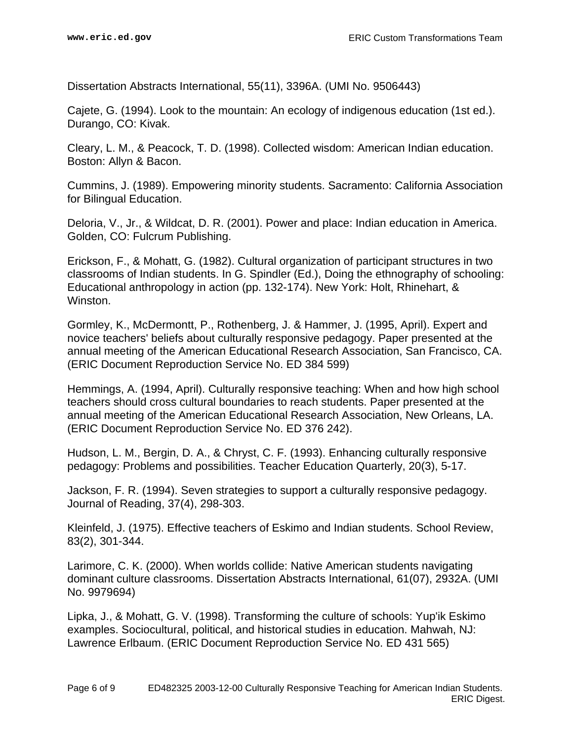Dissertation Abstracts International, 55(11), 3396A. (UMI No. 9506443)

Cajete, G. (1994). Look to the mountain: An ecology of indigenous education (1st ed.). Durango, CO: Kivak.

Cleary, L. M., & Peacock, T. D. (1998). Collected wisdom: American Indian education. Boston: Allyn & Bacon.

Cummins, J. (1989). Empowering minority students. Sacramento: California Association for Bilingual Education.

Deloria, V., Jr., & Wildcat, D. R. (2001). Power and place: Indian education in America. Golden, CO: Fulcrum Publishing.

Erickson, F., & Mohatt, G. (1982). Cultural organization of participant structures in two classrooms of Indian students. In G. Spindler (Ed.), Doing the ethnography of schooling: Educational anthropology in action (pp. 132-174). New York: Holt, Rhinehart, & Winston.

Gormley, K., McDermontt, P., Rothenberg, J. & Hammer, J. (1995, April). Expert and novice teachers' beliefs about culturally responsive pedagogy. Paper presented at the annual meeting of the American Educational Research Association, San Francisco, CA. (ERIC Document Reproduction Service No. ED 384 599)

Hemmings, A. (1994, April). Culturally responsive teaching: When and how high school teachers should cross cultural boundaries to reach students. Paper presented at the annual meeting of the American Educational Research Association, New Orleans, LA. (ERIC Document Reproduction Service No. ED 376 242).

Hudson, L. M., Bergin, D. A., & Chryst, C. F. (1993). Enhancing culturally responsive pedagogy: Problems and possibilities. Teacher Education Quarterly, 20(3), 5-17.

Jackson, F. R. (1994). Seven strategies to support a culturally responsive pedagogy. Journal of Reading, 37(4), 298-303.

Kleinfeld, J. (1975). Effective teachers of Eskimo and Indian students. School Review, 83(2), 301-344.

Larimore, C. K. (2000). When worlds collide: Native American students navigating dominant culture classrooms. Dissertation Abstracts International, 61(07), 2932A. (UMI No. 9979694)

Lipka, J., & Mohatt, G. V. (1998). Transforming the culture of schools: Yup'ik Eskimo examples. Sociocultural, political, and historical studies in education. Mahwah, NJ: Lawrence Erlbaum. (ERIC Document Reproduction Service No. ED 431 565)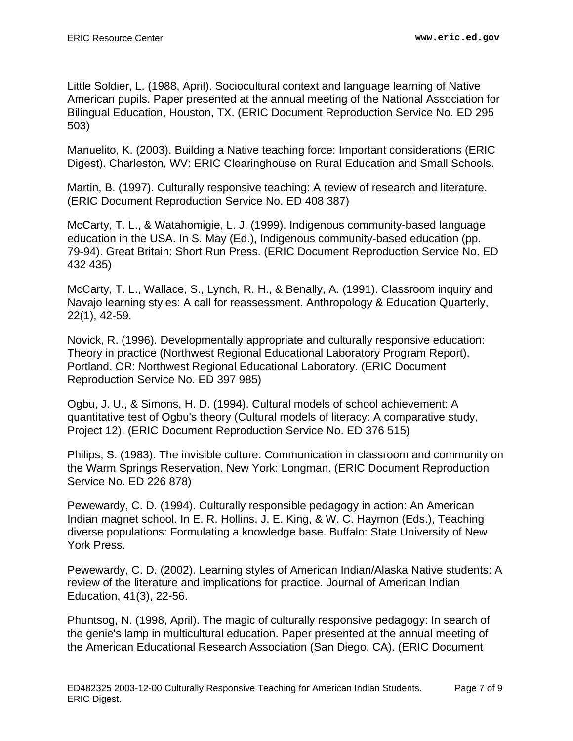Little Soldier, L. (1988, April). Sociocultural context and language learning of Native American pupils. Paper presented at the annual meeting of the National Association for Bilingual Education, Houston, TX. (ERIC Document Reproduction Service No. ED 295 503)

Manuelito, K. (2003). Building a Native teaching force: Important considerations (ERIC Digest). Charleston, WV: ERIC Clearinghouse on Rural Education and Small Schools.

Martin, B. (1997). Culturally responsive teaching: A review of research and literature. (ERIC Document Reproduction Service No. ED 408 387)

McCarty, T. L., & Watahomigie, L. J. (1999). Indigenous community-based language education in the USA. In S. May (Ed.), Indigenous community-based education (pp. 79-94). Great Britain: Short Run Press. (ERIC Document Reproduction Service No. ED 432 435)

McCarty, T. L., Wallace, S., Lynch, R. H., & Benally, A. (1991). Classroom inquiry and Navajo learning styles: A call for reassessment. Anthropology & Education Quarterly, 22(1), 42-59.

Novick, R. (1996). Developmentally appropriate and culturally responsive education: Theory in practice (Northwest Regional Educational Laboratory Program Report). Portland, OR: Northwest Regional Educational Laboratory. (ERIC Document Reproduction Service No. ED 397 985)

Ogbu, J. U., & Simons, H. D. (1994). Cultural models of school achievement: A quantitative test of Ogbu's theory (Cultural models of literacy: A comparative study, Project 12). (ERIC Document Reproduction Service No. ED 376 515)

Philips, S. (1983). The invisible culture: Communication in classroom and community on the Warm Springs Reservation. New York: Longman. (ERIC Document Reproduction Service No. ED 226 878)

Pewewardy, C. D. (1994). Culturally responsible pedagogy in action: An American Indian magnet school. In E. R. Hollins, J. E. King, & W. C. Haymon (Eds.), Teaching diverse populations: Formulating a knowledge base. Buffalo: State University of New York Press.

Pewewardy, C. D. (2002). Learning styles of American Indian/Alaska Native students: A review of the literature and implications for practice. Journal of American Indian Education, 41(3), 22-56.

Phuntsog, N. (1998, April). The magic of culturally responsive pedagogy: In search of the genie's lamp in multicultural education. Paper presented at the annual meeting of the American Educational Research Association (San Diego, CA). (ERIC Document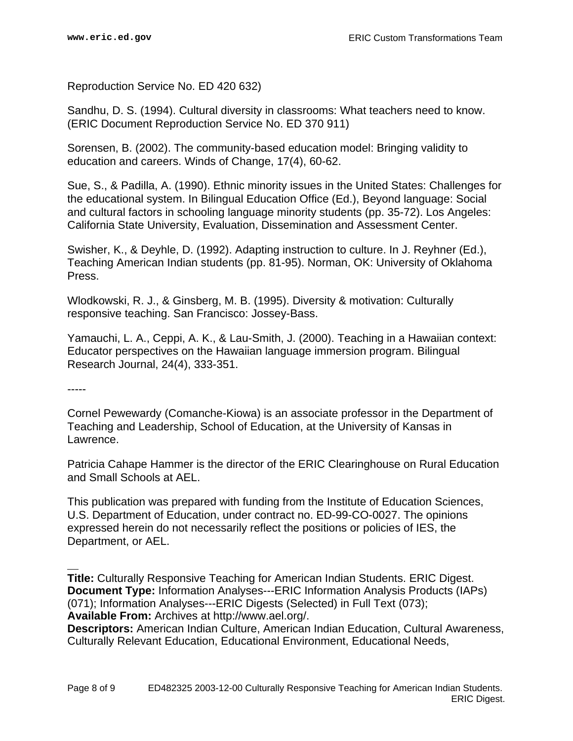Reproduction Service No. ED 420 632)

Sandhu, D. S. (1994). Cultural diversity in classrooms: What teachers need to know. (ERIC Document Reproduction Service No. ED 370 911)

Sorensen, B. (2002). The community-based education model: Bringing validity to education and careers. Winds of Change, 17(4), 60-62.

Sue, S., & Padilla, A. (1990). Ethnic minority issues in the United States: Challenges for the educational system. In Bilingual Education Office (Ed.), Beyond language: Social and cultural factors in schooling language minority students (pp. 35-72). Los Angeles: California State University, Evaluation, Dissemination and Assessment Center.

Swisher, K., & Deyhle, D. (1992). Adapting instruction to culture. In J. Reyhner (Ed.), Teaching American Indian students (pp. 81-95). Norman, OK: University of Oklahoma Press.

Wlodkowski, R. J., & Ginsberg, M. B. (1995). Diversity & motivation: Culturally responsive teaching. San Francisco: Jossey-Bass.

Yamauchi, L. A., Ceppi, A. K., & Lau-Smith, J. (2000). Teaching in a Hawaiian context: Educator perspectives on the Hawaiian language immersion program. Bilingual Research Journal, 24(4), 333-351.

-----

Cornel Pewewardy (Comanche-Kiowa) is an associate professor in the Department of Teaching and Leadership, School of Education, at the University of Kansas in Lawrence.

Patricia Cahape Hammer is the director of the ERIC Clearinghouse on Rural Education and Small Schools at AEL.

This publication was prepared with funding from the Institute of Education Sciences, U.S. Department of Education, under contract no. ED-99-CO-0027. The opinions expressed herein do not necessarily reflect the positions or policies of IES, the Department, or AEL.

**Title:** Culturally Responsive Teaching for American Indian Students. ERIC Digest. **Document Type:** Information Analyses---ERIC Information Analysis Products (IAPs) (071); Information Analyses---ERIC Digests (Selected) in Full Text (073); **Available From:** Archives at http://www.ael.org/.

**Descriptors:** American Indian Culture, American Indian Education, Cultural Awareness, Culturally Relevant Education, Educational Environment, Educational Needs,